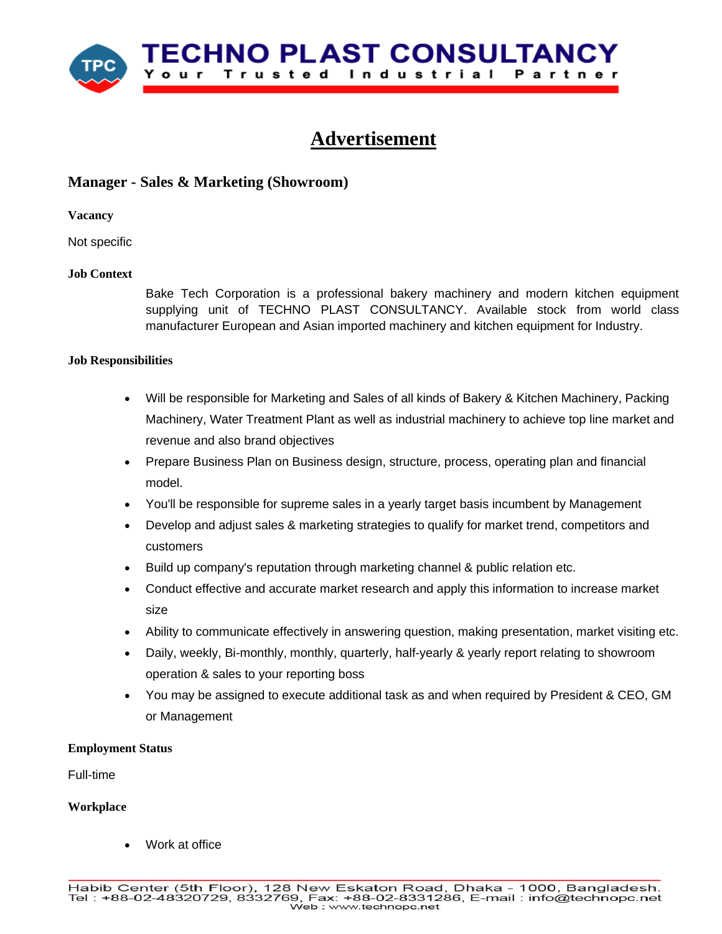

# **Advertisement**

# **Manager - Sales & Marketing (Showroom)**

**Vacancy**

Not specific

# **Job Context**

Bake Tech Corporation is a professional bakery machinery and modern kitchen equipment supplying unit of TECHNO PLAST CONSULTANCY. Available stock from world class manufacturer European and Asian imported machinery and kitchen equipment for Industry.

# **Job Responsibilities**

- Will be responsible for Marketing and Sales of all kinds of Bakery & Kitchen Machinery, Packing Machinery, Water Treatment Plant as well as industrial machinery to achieve top line market and revenue and also brand objectives
- Prepare Business Plan on Business design, structure, process, operating plan and financial model.
- You'll be responsible for supreme sales in a yearly target basis incumbent by Management
- Develop and adjust sales & marketing strategies to qualify for market trend, competitors and customers
- Build up company's reputation through marketing channel & public relation etc.
- Conduct effective and accurate market research and apply this information to increase market size
- Ability to communicate effectively in answering question, making presentation, market visiting etc.
- Daily, weekly, Bi-monthly, monthly, quarterly, half-yearly & yearly report relating to showroom operation & sales to your reporting boss
- You may be assigned to execute additional task as and when required by President & CEO, GM or Management

# **Employment Status**

Full-time

# **Workplace**

Work at office